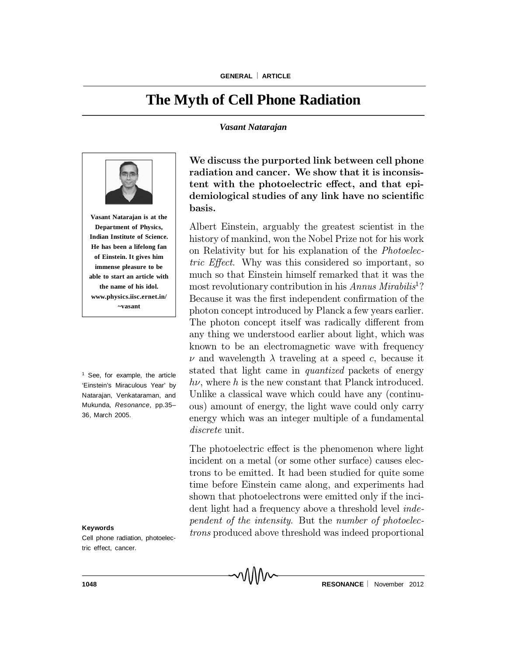# **The Myth of Cell Phone Radiation**

#### *Vasant Natarajan*



**Vasant Natarajan is at the Department of Physics, Indian Institute of Science. He has been a lifelong fan of Einstein. It gives him immense pleasure to be able to start an article with the name of his idol. www.physics.iisc.ernet.in/ ~vasant**

<sup>1</sup> See, for example, the article 'Einstein's Miraculous Year' by Natarajan, Venkataraman, and Mukunda, *Resonance*, pp.35– 36, March 2005.

#### **Keywords**

Cell phone radiation, photoelectric effect, cancer.

We discuss the purported link between cell phone radiation and cancer. We show that it is inconsistent with the photoelectric effect, and that epidemiological studies of any link have no scientific basis.

Albert Einstein, arguably the greatest scientist in the history of mankind, won the Nobel Prize not for his work on Relativity but for his explanation of the Photoelectric Effect. Why was this considered so important, so much so that Einstein himself remarked that it was the most revolutionary contribution in his Annus Mirabilis<sup>1</sup>? Because it was the first independent confirmation of the photon concept introduced by Planck a few years earlier. The photon concept itself was radically different from any thing we understood earlier about light, which was known to be an electromagnetic wave with frequency  $\nu$  and wavelength  $\lambda$  traveling at a speed c, because it stated that light came in quantized packets of energy  $h\nu$ , where h is the new constant that Planck introduced. Unlike a classical wave which could have any (continuous) amount of energy, the light wave could only carry energy which was an integer multiple of a fundamental discrete unit.

The photoelectric effect is the phenomenon where light incident on a metal (or some other surface) causes electrons to be emitted. It had been studied for quite some time before Einstein came along, and experiments had shown that photoelectrons were emitted only if the incident light had a frequency above a threshold level *inde*pendent of the intensity. But the number of photoelectrons produced above threshold was indeed proportional

MM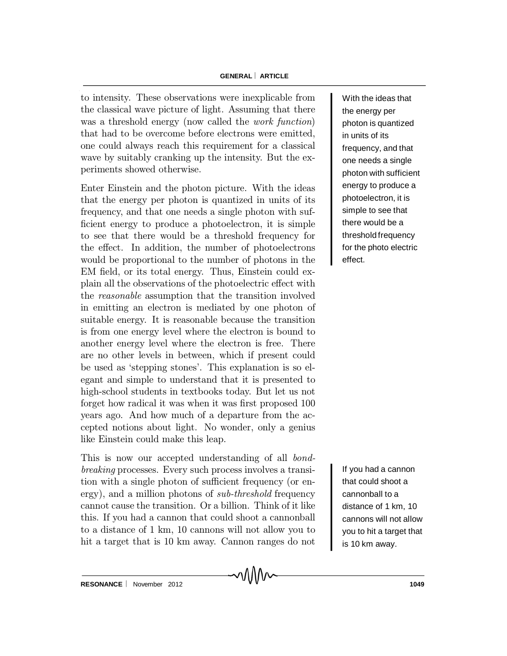to intensity. These observations were inexplicable from the classical wave picture of light. Assuming that there was a threshold energy (now called the *work function*) that had to be overcome before electrons were emitted, one could always reach this requirement for a classical wave by suitably cranking up the intensity. But the experiments showed otherwise.

Enter Einstein and the photon picture. With the ideas that the energy per photon is quantized in units of its frequency, and that one needs a single photon with suf ficient energy to produce a photoelectron, it is simple to see that there would be a threshold frequency for the effect. In addition, the number of photoelectrons would be proportional to the number of photons in the EM field, or its total energy. Thus, Einstein could explain all the observations of the photoelectric effect with the reasonable assumption that the transition involved in emitting an electron is mediated by one photon of suitable energy. It is reasonable because the transition is from one energy level where the electron is bound to another energy level where the electron is free. There are no other levels in between, which if present could be used as 'stepping stones'. This explanation is so elegant and simple to understand that it is presented to high-school students in textbooks today. But let us not forget how radical it was when it was first proposed 100 years ago. And how much of a departure from the accepted notions about light. No wonder, only a genius like Einstein could make this leap.

This is now our accepted understanding of all bondbreaking processes. Every such process involves a transition with a single photon of sufficient frequency (or energy), and a million photons of *sub-threshold* frequency cannot cause the transition. Or a billion. Think of it like this. If you had a cannon that could shoot a cannonball to a distance of 1 km, 10 cannons will not allow you to hit a target that is 10 km away. Cannon ranges do not

With the ideas that the energy per photon is quantized in units of its frequency, and that one needs a single photon with sufficient energy to produce a photoelectron, it is simple to see that there would be a threshold frequency for the photo electric effect.

If you had a cannon that could shoot a cannonball to a distance of 1 km, 10 cannons will not allow you to hit a target that is 10 km away.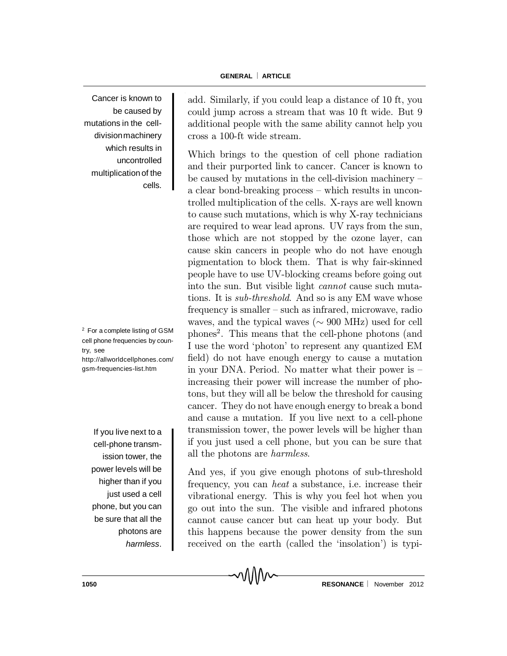Cancer is known to be caused by mutations in the celldivision machinery which results in uncontrolled multiplication of the cells.

<sup>2</sup> For a complete listing of GSM cell phone frequencies by country, see http://allworldcellphones.com/ gsm-frequencies-list.htm

If you live next to a cell-phone transmission tower, the power levels will be higher than if you just used a cell phone, but you can be sure that all the photons are *harmless*. add. Similarly, if you could leap a distance of 10 ft, you could jump across a stream that was 10 ft wide. But 9 additional people with the same ability cannot help you cross a 100-ft wide stream.

Which brings to the question of cell phone radiation and their purported link to cancer. Cancer is known to be caused by mutations in the cell-division machinery  $$ a clear bond-breaking process  $-\text{ which results in uncon-}$ trolled multiplication of the cells. X-rays are well known to cause such mutations, which is why X-ray technicians are required to wear lead aprons. UV rays from the sun, those which are not stopped by the ozone layer, can cause skin cancers in people who do not have enough pigmentation to block them. That is why fair-skinned people have to use UV-blocking creams before going out into the sun. But visible light cannot cause such mutations. It is sub-threshold. And so is any EM wave whose frequency is smaller – such as infrared, microwave, radio waves, and the typical waves ( $\sim$  900 MHz) used for cell phones 2 . This means that the cell-phone photons (and I use the word `photon' to represent any quantized EM field) do not have enough energy to cause a mutation in your DNA. Period. No matter what their power is  $$ increasing their power will increase the number of photons, but they will all be below the threshold for causing cancer. They do not have enough energy to break a bond and cause a mutation. If you live next to a cell-phone transmission tower, the power levels will be higher than if you just used a cell phone, but you can be sure that all the photons are harmless.

And yes, if you give enough photons of sub-threshold frequency, you can heat a substance, i.e. increase their vibrational energy. This is why you feel hot when you go out into the sun. The visible and infrared photons cannot cause cancer but can heat up your body. But this happens because the power density from the sun received on the earth (called the 'insolation') is typi-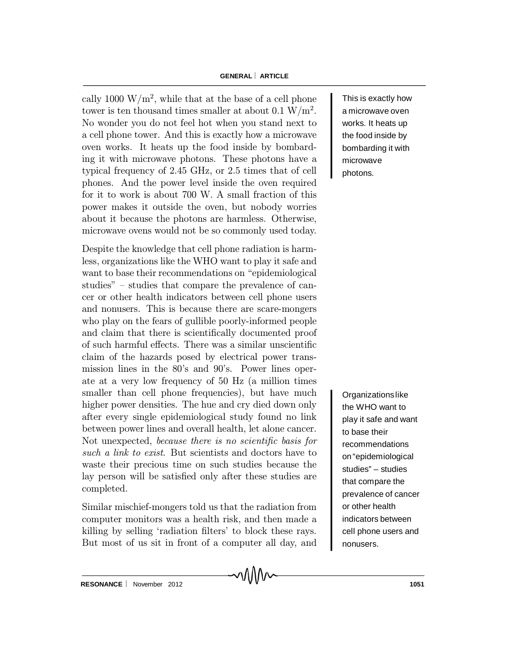### **GENERAL ARTICLE**

cally 1000  $\rm W/m^2$ , while that at the base of a cell phone tower is ten thousand times smaller at about 0.1  $\rm W/m^2$ . No wonder you do not feel hot when you stand next to a cell phone tower. And this is exactly how a microwave oven works. It heats up the food inside by bombarding it with microwave photons. These photons have a typical frequency of 2.45 GHz, or 2.5 times that of cell phones. And the power level inside the oven required for it to work is about 700 W. A small fraction of this power makes it outside the oven, but nobody worries about it because the photons are harmless. Otherwise, microwave ovens would not be so commonly used today.

Despite the knowledge that cell phone radiation is harmless, organizations like the WHO want to play it safe and want to base their recommendations on "epidemiological" studies" – studies that compare the prevalence of cancer or other health indicators between cell phone users and nonusers. This is because there are scare-mongers who play on the fears of gullible poorly-informed people and claim that there is scientifically documented proof of such harmful effects. There was a similar unscientific claim of the hazards posed by electrical power transmission lines in the 80's and 90's. Power lines operate at a very low frequency of 50 Hz (a million times smaller than cell phone frequencies), but have much higher power densities. The hue and cry died down only after every single epidemiological study found no link between power lines and overall health, let alone cancer. Not unexpected, because there is no scientific basis for such a link to exist. But scientists and doctors have to waste their precious time on such studies because the lay person will be satisfied only after these studies are completed.

Similar mischief-mongers told us that the radiation from computer monitors was a health risk, and then made a killing by selling 'radiation filters' to block these rays. But most of us sit in front of a computer all day, and This is exactly how a microwave oven works. It heats up the food inside by bombarding it with microwave photons.

Organizationslike the WHO want to play it safe and want to base their recommendations on"epidemiological studies" – studies that compare the prevalence of cancer or other health indicators between cell phone users and nonusers.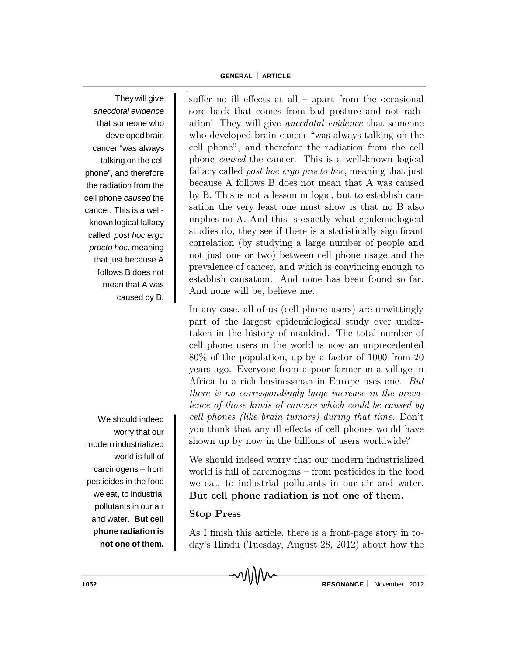They will give *anecdotal evidence* that someone who developed brain cancer "was always talking on the cell phone", and therefore the radiation from the cell phone *caused* the cancer. This is a wellknown logical fallacy called *post hoc ergo procto hoc*, meaning that just because A follows B does not mean that A was caused by B.

We should indeed worry that our modernindustrialized world is full of carcinogens – from pesticides in the food we eat, to industrial pollutants in our air and water. **But cell phone radiation is not one of them.** suffer no ill effects at all  $-$  apart from the occasional sore back that comes from bad posture and not radiation! They will give anecdotal evidence that someone who developed brain cancer "was always talking on the cell phone", and therefore the radiation from the cell phone caused the cancer. This is a well-known logical fallacy called *post hoc ergo procto hoc*, meaning that just because A follows B does not mean that A was caused by B. This is not a lesson in logic, but to establish causation the very least one must show is that no B also implies no A. And this is exactly what epidemiological studies do, they see if there is a statistically significant correlation (by studying a large number of people and not just one or two) between cell phone usage and the prevalence of cancer, and which is convincing enough to establish causation. And none has been found so far. And none will be, believe me.

In any case, all of us (cell phone users) are unwittingly part of the largest epidemiological study ever undertaken in the history of mankind. The total number of cell phone users in the world is now an unprecedented 80% of the population, up by a factor of 1000 from 20 years ago. Everyone from a poor farmer in a village in Africa to a rich businessman in Europe uses one. But there is no correspondingly large increase in the prevalence of those kinds of cancers which could be caused by cell phones (like brain tumors) during that time. Don't you think that any ill effects of cell phones would have shown up by now in the billions of users worldwide?

We should indeed worry that our modern industrialized world is full of carcinogens – from pesticides in the food we eat, to industrial pollutants in our air and water. But cell phone radiation is not one of them.

## Stop Press

As I finish this article, there is a front-page story in today's Hindu (Tuesday, August 28, 2012) about how the